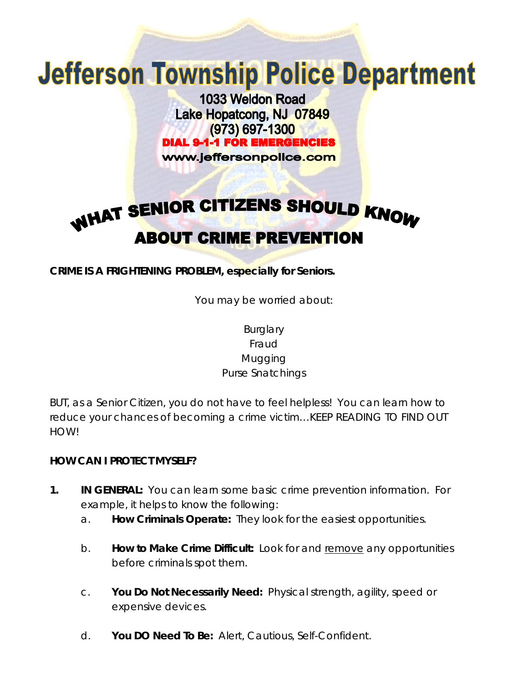# **Jefferson Township Police Department**

#### 1033 Weldon Road Lake Hopatcong, NJ 07849 (973) 697-1300 **DIAL 9-1-1 FOR EMERGENCIES**

www.jeffersonpolice.com

## WHAT SENIOR CITIZENS SHOULD KNOW **ABOUT CRIME PREVENTION**

#### **CRIME IS A FRIGHTENING PROBLEM, especially for Seniors.**

You may be worried about:

#### Burglary Fraud Mugging Purse Snatchings

BUT, as a Senior Citizen, you do not have to feel helpless! You can learn how to reduce your chances of becoming a crime victim…KEEP READING TO FIND OUT HOW!

#### **HOW CAN I PROTECT MYSELF?**

- **1. IN GENERAL:** You can learn some basic crime prevention information. For example, it helps to know the following:
	- a. **How Criminals Operate:** They look for the easiest opportunities.
	- b. **How to Make Crime Difficult:** Look for and remove any opportunities before criminals spot them.
	- c. **You Do Not Necessarily Need:** Physical strength, agility, speed or expensive devices.
	- d. **You DO Need To Be:** Alert, Cautious, Self-Confident.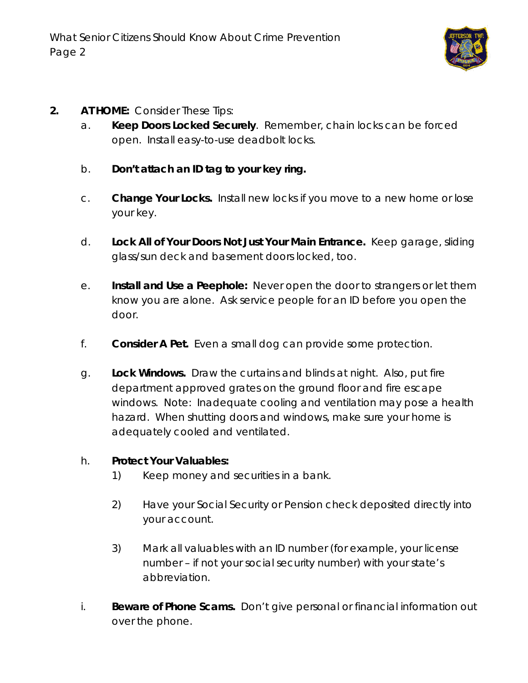

- **2. AT HOME:** Consider These Tips:
	- a. **Keep Doors Locked Securely**. Remember, chain locks can be forced open. Install easy-to-use deadbolt locks.
	- b. **Don't attach an ID tag to your key ring.**
	- c. **Change Your Locks.** Install new locks if you move to a new home or lose your key.
	- d. **Lock All of Your Doors Not Just Your Main Entrance.** Keep garage, sliding glass/sun deck and basement doors locked, too.
	- e. **Install and Use a Peephole:** Never open the door to strangers or let them know you are alone. Ask service people for an ID before you open the door.
	- f. **Consider A Pet.** Even a small dog can provide some protection.
	- g. **Lock Windows.** Draw the curtains and blinds at night. Also, put fire department approved grates on the ground floor and fire escape windows. *Note: Inadequate cooling and ventilation may pose a health hazard. When shutting doors and windows, make sure your home is adequately cooled and ventilated.*

#### h. **Protect Your Valuables:**

- 1) Keep money and securities in a bank.
- 2) Have your Social Security or Pension check deposited directly into your account.
- 3) Mark all valuables with an ID number (for example, your license number – if not your social security number) with your state's abbreviation.
- i. **Beware of Phone Scams.** Don't give personal or financial information out over the phone.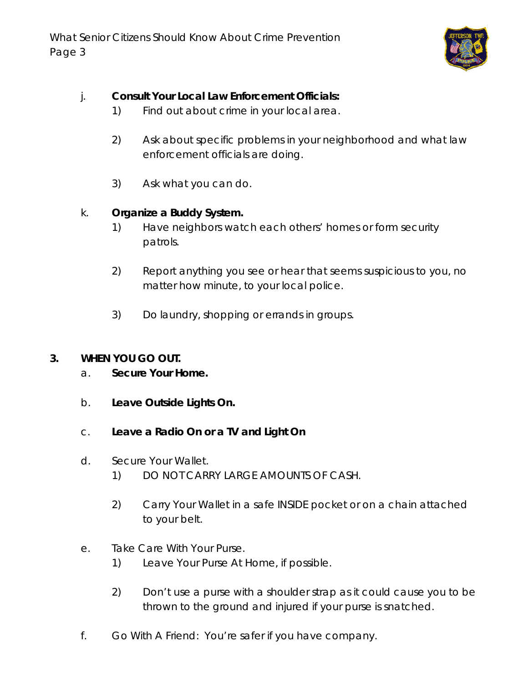

#### j. **Consult Your Local Law Enforcement Officials:**

- 1) Find out about crime in your local area.
- 2) Ask about specific problems in your neighborhood and what law enforcement officials are doing.
- 3) Ask what you can do.

#### k. **Organize a Buddy System.**

- 1) Have neighbors watch each others' homes or form security patrols.
- 2) Report anything you see or hear that seems suspicious to you, no matter how minute, to your local police.
- 3) Do laundry, shopping or errands in groups.

#### **3. WHEN YOU GO OUT.**

- a. **Secure Your Home.**
- b. **Leave Outside Lights On.**
- c. **Leave a Radio On or a TV and Light On**
- d. Secure Your Wallet.
	- 1) DO NOT CARRY LARGE AMOUNTS OF CASH.
	- 2) Carry Your Wallet in a safe INSIDE pocket or on a chain attached to your belt.
- e. Take Care With Your Purse.
	- 1) Leave Your Purse At Home, if possible.
	- 2) Don't use a purse with a shoulder strap as it could cause you to be thrown to the ground and injured if your purse is snatched.
- f. Go With A Friend: You're safer if you have company.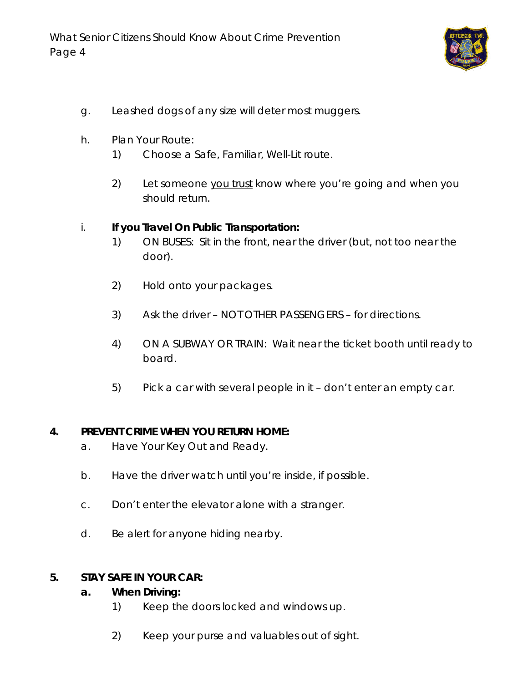

- g. Leashed dogs of any size will deter most muggers.
- h. Plan Your Route:
	- 1) Choose a Safe, Familiar, Well-Lit route.
	- 2) Let someone you trust know where you're going and when you should return.

#### i. **If you Travel On Public Transportation:**

- 1) ON BUSES: Sit in the front, near the driver (but, not too near the door).
- 2) Hold onto your packages.
- 3) Ask the driver NOT OTHER PASSENGERS for directions.
- 4) ON A SUBWAY OR TRAIN: Wait near the ticket booth until ready to board.
- 5) Pick a car with several people in it don't enter an empty car.

#### **4. PREVENT CRIME WHEN YOU RETURN HOME:**

- a. Have Your Key Out and Ready.
- b. Have the driver watch until you're inside, if possible.
- c. Don't enter the elevator alone with a stranger.
- d. Be alert for anyone hiding nearby.

#### **5. STAY SAFE IN YOUR CAR:**

#### **a. When Driving:**

- 1) Keep the doors locked and windows up.
- 2) Keep your purse and valuables out of sight.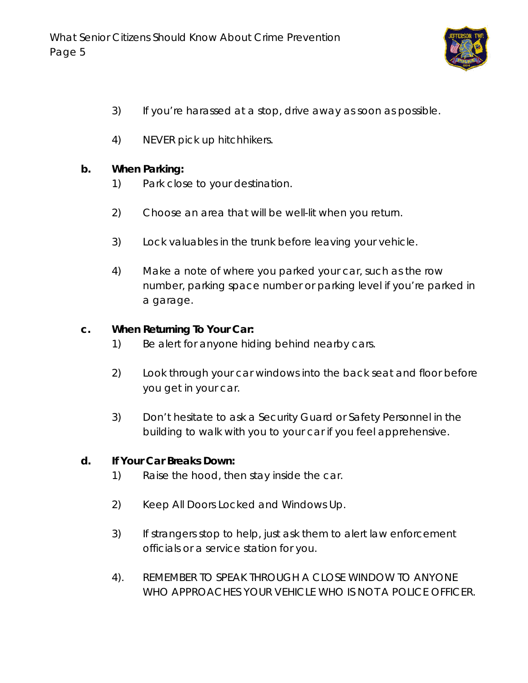

- 3) If you're harassed at a stop, drive away as soon as possible.
- 4) NEVER pick up hitchhikers.

#### **b. When Parking:**

- 1) Park close to your destination.
- 2) Choose an area that will be well-lit when you return.
- 3) Lock valuables in the trunk before leaving your vehicle.
- 4) Make a note of where you parked your car, such as the row number, parking space number or parking level if you're parked in a garage.

#### **c. When Returning To Your Car:**

- 1) Be alert for anyone hiding behind nearby cars.
- 2) Look through your car windows into the back seat and floor before you get in your car.
- 3) Don't hesitate to ask a Security Guard or Safety Personnel in the building to walk with you to your car if you feel apprehensive.

#### **d. If Your Car Breaks Down:**

- 1) Raise the hood, then stay inside the car.
- 2) Keep All Doors Locked and Windows Up.
- 3) If strangers stop to help, just ask them to alert law enforcement officials or a service station for you.
- 4). REMEMBER TO SPEAK THROUGH A CLOSE WINDOW TO ANYONE WHO APPROACHES YOUR VEHICLE WHO IS NOT A POLICE OFFICER.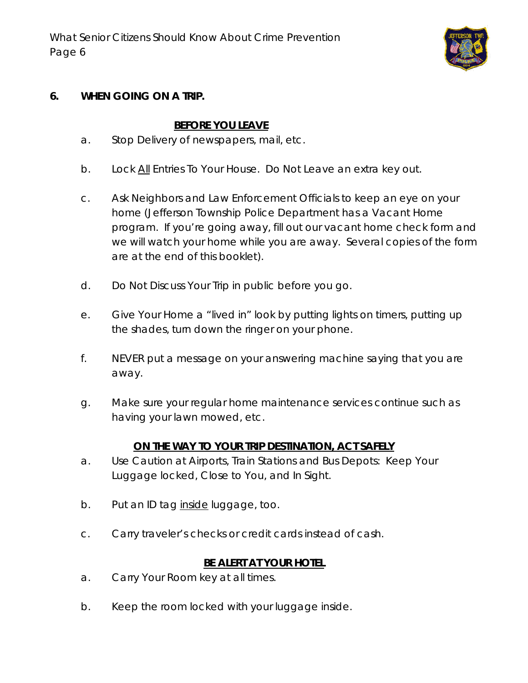

#### **6. WHEN GOING ON A TRIP.**

#### **BEFORE YOU LEAVE**

- a. Stop Delivery of newspapers, mail, etc.
- b. Lock All Entries To Your House. Do Not Leave an extra key out.
- c. Ask Neighbors and Law Enforcement Officials to keep an eye on your home (Jefferson Township Police Department has a Vacant Home program. If you're going away, fill out our vacant home check form and we will watch your home while you are away. Several copies of the form are at the end of this booklet).
- d. Do Not Discuss Your Trip in public before you go.
- e. Give Your Home a "lived in" look by putting lights on timers, putting up the shades, turn down the ringer on your phone.
- f. NEVER put a message on your answering machine saying that you are away.
- g. Make sure your regular home maintenance services continue such as having your lawn mowed, etc.

#### **ON THE WAY TO YOUR TRIP DESTINATION, ACT SAFELY**

- a. Use Caution at Airports, Train Stations and Bus Depots: Keep Your Luggage locked, Close to You, and In Sight.
- b. Put an ID tag inside luggage, too.
- c. Carry traveler's checks or credit cards instead of cash.

#### **BE ALERT AT YOUR HOTEL**

- a. Carry Your Room key at all times.
- b. Keep the room locked with your luggage inside.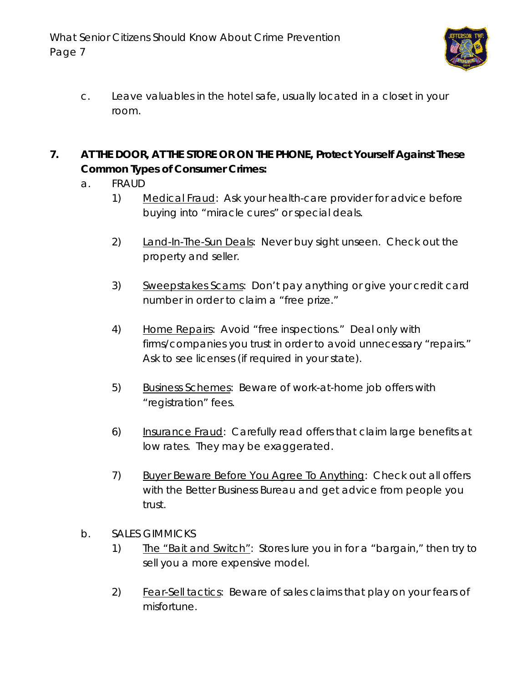

 c. Leave valuables in the hotel safe, usually located in a closet in your room.

#### **7. AT THE DOOR, AT THE STORE OR ON THE PHONE, Protect Yourself Against These Common Types of Consumer Crimes:**

- a. FRAUD
	- 1) Medical Fraud: Ask your health-care provider for advice before buying into "miracle cures" or special deals.
	- 2) Land-In-The-Sun Deals: Never buy sight unseen. Check out the property and seller.
	- 3) Sweepstakes Scams: Don't pay anything or give your credit card number in order to claim a "free prize."
	- 4) Home Repairs: Avoid "free inspections." Deal only with firms/companies you trust in order to avoid unnecessary "repairs." Ask to see licenses (if required in your state).
	- 5) Business Schemes: Beware of work-at-home job offers with "registration" fees.
	- 6) Insurance Fraud: Carefully read offers that claim large benefits at low rates. They may be exaggerated.
	- 7) Buyer Beware Before You Agree To Anything: Check out all offers with the Better Business Bureau and get advice from people you trust.
- b. SALES GIMMICKS
	- 1) Ihe "Bait and Switch": Stores lure you in for a "bargain," then try to sell you a more expensive model.
	- 2) Fear-Sell tactics: Beware of sales claims that play on your fears of misfortune.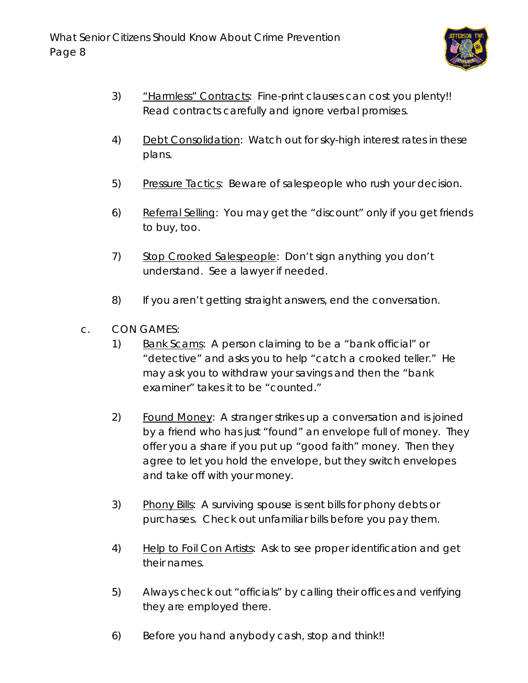

- 3) *"Harmless"* Contracts: Fine-print clauses can cost you plenty!! Read contracts carefully and ignore verbal promises.
- 4) Debt Consolidation: Watch out for sky-high interest rates in these plans.
- 5) Pressure Tactics: Beware of salespeople who rush your decision.
- 6) Referral Selling: You may get the "discount" only if you get friends to buy, too.
- 7) Stop Crooked Salespeople: Don't sign anything you don't understand. See a lawyer if needed.
- 8) If you aren't getting straight answers, end the conversation.
- c. CON GAMES:
	- 1) Bank Scams: A person claiming to be a "bank official" or "detective" and asks you to help "catch a crooked teller." He may ask you to withdraw your savings and then the "bank examiner" takes it to be "counted."
	- 2) Found Money: A stranger strikes up a conversation and is joined by a friend who has just "found" an envelope full of money. They offer you a share if you put up "good faith" money. Then they agree to let you hold the envelope, but they switch envelopes and take off with your money.
	- 3) Phony Bills: A surviving spouse is sent bills for phony debts or purchases. Check out unfamiliar bills before you pay them.
	- 4) Help to Foil Con Artists: Ask to see proper identification and get their names.
	- 5) Always check out "officials" by calling their offices and verifying they are employed there.
	- 6) Before you hand anybody cash, stop and think!!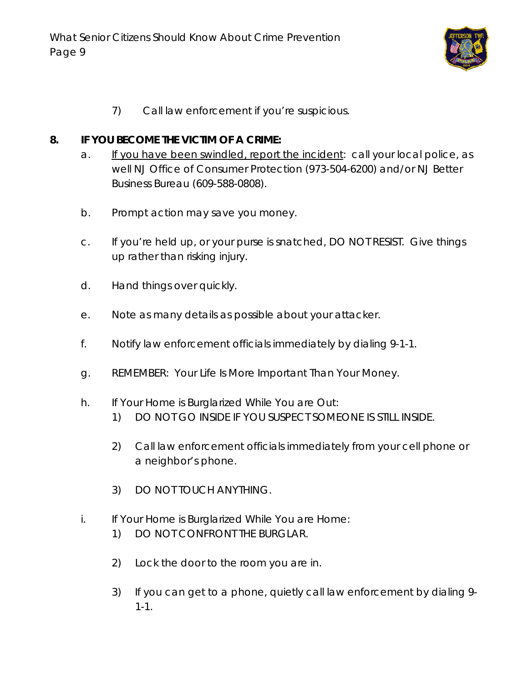

7) Call law enforcement if you're suspicious.

#### **8. IF YOU BECOME THE VICTIM OF A CRIME:**

- a. If you have been swindled, report the incident: call your local police, as well NJ Office of Consumer Protection (973-504-6200) and/or NJ Better Business Bureau (609-588-0808).
- b. Prompt action may save you money.
- c. If you're held up, or your purse is snatched, DO NOT RESIST. Give things up rather than risking injury.
- d. Hand things over quickly.
- e. Note as many details as possible about your attacker.
- f. Notify law enforcement officials immediately by dialing 9-1-1.
- g. REMEMBER: Your Life Is More Important Than Your Money.
- h. If Your Home is Burglarized While You are Out:
	- 1) DO NOT GO INSIDE IF YOU SUSPECT SOMEONE IS STILL INSIDE.
	- 2) Call law enforcement officials immediately from your cell phone or a neighbor's phone.
	- 3) DO NOT TOUCH ANYTHING.
- i. If Your Home is Burglarized While You are Home:
	- 1) DO NOT CONFRONT THE BURGLAR.
	- 2) Lock the door to the room you are in.
	- 3) If you can get to a phone, quietly call law enforcement by dialing 9- 1-1.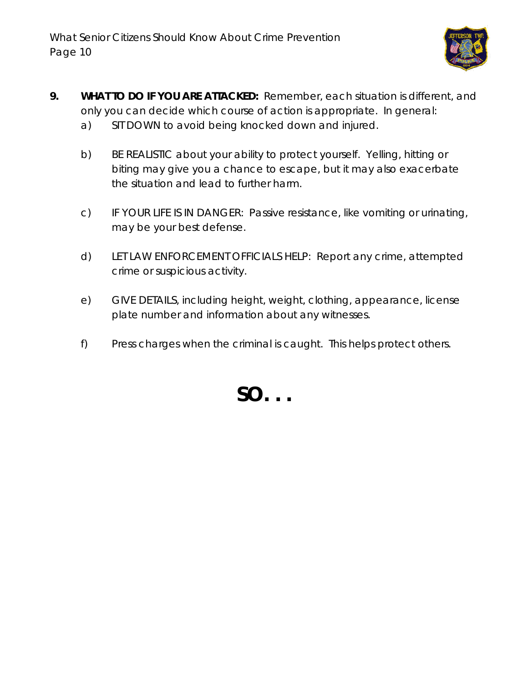

- **9. WHAT TO DO IF YOU ARE ATTACKED:** Remember, each situation is different, and only you can decide which course of action is appropriate. In general:
	- a) SIT DOWN to avoid being knocked down and injured.
	- b) BE REALISTIC about your ability to protect yourself. Yelling, hitting or biting may give you a chance to escape, *but* it may also exacerbate the situation and lead to further harm.
	- c) IF YOUR LIFE IS IN DANGER: Passive resistance, like vomiting or urinating, may be your best defense.
	- d) LET LAW ENFORCEMENT OFFICIALS HELP: Report any crime, attempted crime or suspicious activity.
	- e) GIVE DETAILS, including height, weight, clothing, appearance, license plate number and information about any witnesses.
	- f) Press charges when the criminal is caught. This helps protect others.

**SO. . .**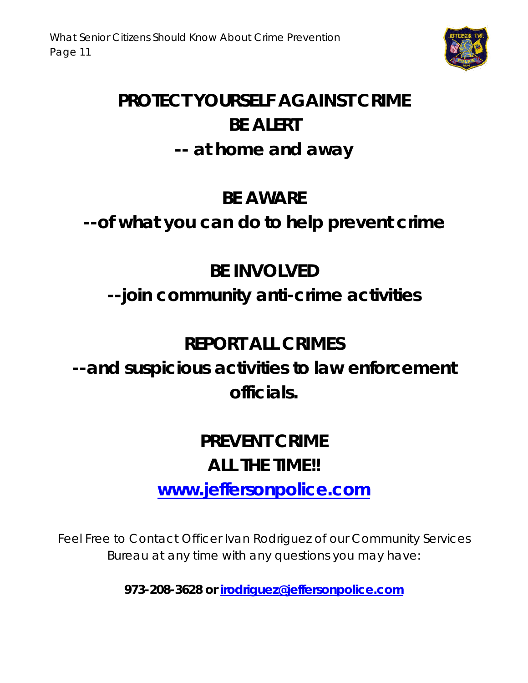

## **PROTECT YOURSELF AGAINST CRIME BE ALERT -- at home and away**

### **BE AWARE**

## **--of what you can do to help prevent crime**

## **BE INVOLVED**

## **--join community anti-crime activities**

## **REPORT ALL CRIMES**

**--and suspicious activities to law enforcement officials.** 

## **PREVENT CRIME ALL THE TIME!!**

**www.jeffersonpolice.com**

Feel Free to Contact Officer Ivan Rodriguez of our Community Services Bureau at any time with any questions you may have:

**973-208-3628 or irodriguez@jeffersonpolice.com**